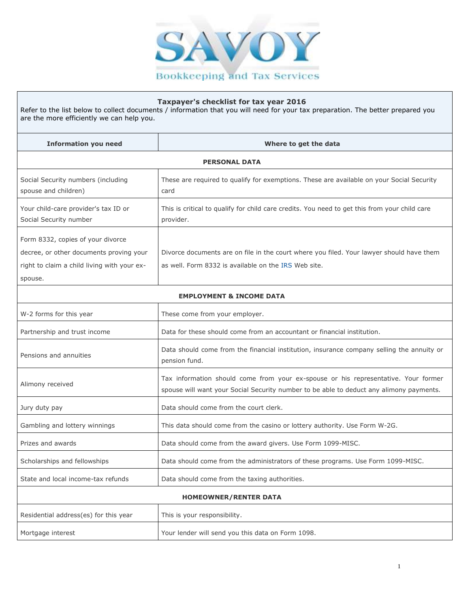

## **Taxpayer's checklist for tax year 2016**

Refer to the list below to collect documents / information that you will need for your tax preparation. The better prepared you are the more efficiently we can help you.

| <b>Information you need</b>                                                  | Where to get the data                                                                                      |  |
|------------------------------------------------------------------------------|------------------------------------------------------------------------------------------------------------|--|
| <b>PERSONAL DATA</b>                                                         |                                                                                                            |  |
| Social Security numbers (including<br>spouse and children)                   | These are required to qualify for exemptions. These are available on your Social Security<br>card          |  |
| Your child-care provider's tax ID or<br>Social Security number               | This is critical to qualify for child care credits. You need to get this from your child care<br>provider. |  |
| Form 8332, copies of your divorce<br>decree, or other documents proving your | Divorce documents are on file in the court where you filed. Your lawyer should have them                   |  |
| right to claim a child living with your ex-<br>spouse.                       | as well. Form 8332 is available on the IRS Web site.                                                       |  |
| <b>EMPLOYMENT &amp; INCOME DATA</b>                                          |                                                                                                            |  |
| W-2 forms for this year                                                      | These come from your employer.                                                                             |  |
| Partnership and trust income                                                 | Data for these should come from an accountant or financial institution.                                    |  |

| Pensions and annuities | Data should come from the financial institution, insurance company selling the annuity or |
|------------------------|-------------------------------------------------------------------------------------------|
|                        | pension fund.                                                                             |

| Alimony received                      | Tax information should come from your ex-spouse or his representative. Your former<br>spouse will want your Social Security number to be able to deduct any alimony payments. |  |
|---------------------------------------|-------------------------------------------------------------------------------------------------------------------------------------------------------------------------------|--|
| Jury duty pay                         | Data should come from the court clerk.                                                                                                                                        |  |
| Gambling and lottery winnings         | This data should come from the casino or lottery authority. Use Form W-2G.                                                                                                    |  |
| Prizes and awards                     | Data should come from the award givers. Use Form 1099-MISC.                                                                                                                   |  |
| Scholarships and fellowships          | Data should come from the administrators of these programs. Use Form 1099-MISC.                                                                                               |  |
| State and local income-tax refunds    | Data should come from the taxing authorities.                                                                                                                                 |  |
| <b>HOMEOWNER/RENTER DATA</b>          |                                                                                                                                                                               |  |
| Residential address(es) for this year | This is your responsibility.                                                                                                                                                  |  |
| Mortgage interest                     | Your lender will send you this data on Form 1098.                                                                                                                             |  |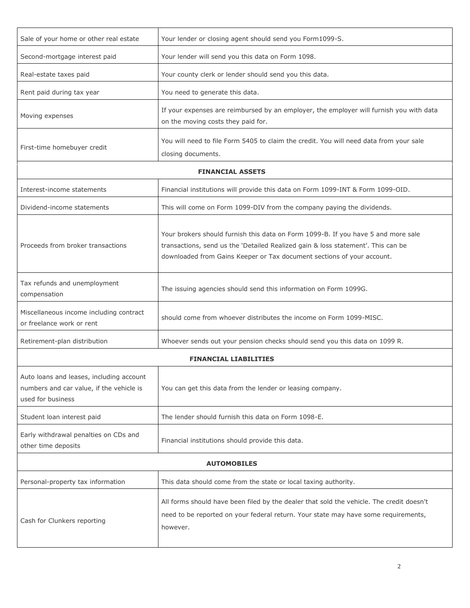| Sale of your home or other real estate                                                                    | Your lender or closing agent should send you Form1099-S.                                                                                                                                                                                        |  |
|-----------------------------------------------------------------------------------------------------------|-------------------------------------------------------------------------------------------------------------------------------------------------------------------------------------------------------------------------------------------------|--|
| Second-mortgage interest paid                                                                             | Your lender will send you this data on Form 1098.                                                                                                                                                                                               |  |
| Real-estate taxes paid                                                                                    | Your county clerk or lender should send you this data.                                                                                                                                                                                          |  |
| Rent paid during tax year                                                                                 | You need to generate this data.                                                                                                                                                                                                                 |  |
| Moving expenses                                                                                           | If your expenses are reimbursed by an employer, the employer will furnish you with data<br>on the moving costs they paid for.                                                                                                                   |  |
| First-time homebuyer credit                                                                               | You will need to file Form 5405 to claim the credit. You will need data from your sale<br>closing documents.                                                                                                                                    |  |
|                                                                                                           | <b>FINANCIAL ASSETS</b>                                                                                                                                                                                                                         |  |
| Interest-income statements                                                                                | Financial institutions will provide this data on Form 1099-INT & Form 1099-OID.                                                                                                                                                                 |  |
| Dividend-income statements                                                                                | This will come on Form 1099-DIV from the company paying the dividends.                                                                                                                                                                          |  |
| Proceeds from broker transactions                                                                         | Your brokers should furnish this data on Form 1099-B. If you have 5 and more sale<br>transactions, send us the 'Detailed Realized gain & loss statement'. This can be<br>downloaded from Gains Keeper or Tax document sections of your account. |  |
| Tax refunds and unemployment<br>compensation                                                              | The issuing agencies should send this information on Form 1099G.                                                                                                                                                                                |  |
| Miscellaneous income including contract<br>or freelance work or rent                                      | should come from whoever distributes the income on Form 1099-MISC.                                                                                                                                                                              |  |
| Retirement-plan distribution                                                                              | Whoever sends out your pension checks should send you this data on 1099 R.                                                                                                                                                                      |  |
| <b>FINANCIAL LIABILITIES</b>                                                                              |                                                                                                                                                                                                                                                 |  |
| Auto loans and leases, including account<br>numbers and car value, if the vehicle is<br>used for business | You can get this data from the lender or leasing company.                                                                                                                                                                                       |  |
| Student loan interest paid                                                                                | The lender should furnish this data on Form 1098-E.                                                                                                                                                                                             |  |
| Early withdrawal penalties on CDs and<br>other time deposits                                              | Financial institutions should provide this data.                                                                                                                                                                                                |  |
| <b>AUTOMOBILES</b>                                                                                        |                                                                                                                                                                                                                                                 |  |
| Personal-property tax information                                                                         | This data should come from the state or local taxing authority.                                                                                                                                                                                 |  |
| Cash for Clunkers reporting                                                                               | All forms should have been filed by the dealer that sold the vehicle. The credit doesn't<br>need to be reported on your federal return. Your state may have some requirements,<br>however.                                                      |  |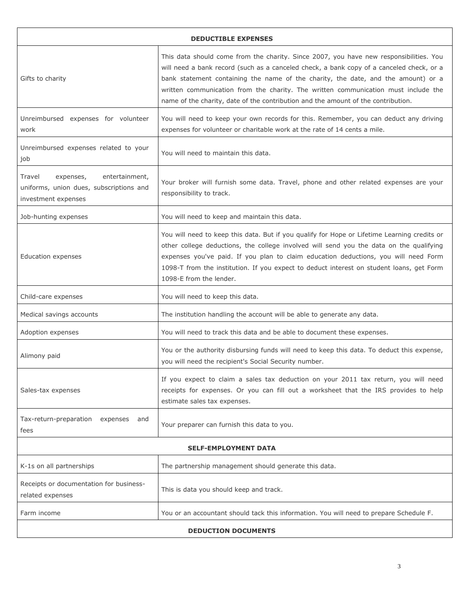| <b>DEDUCTIBLE EXPENSES</b>                                                                              |                                                                                                                                                                                                                                                                                                                                                                                                                                                    |  |
|---------------------------------------------------------------------------------------------------------|----------------------------------------------------------------------------------------------------------------------------------------------------------------------------------------------------------------------------------------------------------------------------------------------------------------------------------------------------------------------------------------------------------------------------------------------------|--|
| Gifts to charity                                                                                        | This data should come from the charity. Since 2007, you have new responsibilities. You<br>will need a bank record (such as a canceled check, a bank copy of a canceled check, or a<br>bank statement containing the name of the charity, the date, and the amount) or a<br>written communication from the charity. The written communication must include the<br>name of the charity, date of the contribution and the amount of the contribution. |  |
| Unreimbursed expenses for volunteer<br>work                                                             | You will need to keep your own records for this. Remember, you can deduct any driving<br>expenses for volunteer or charitable work at the rate of 14 cents a mile.                                                                                                                                                                                                                                                                                 |  |
| Unreimbursed expenses related to your<br>job                                                            | You will need to maintain this data.                                                                                                                                                                                                                                                                                                                                                                                                               |  |
| entertainment,<br>Travel<br>expenses,<br>uniforms, union dues, subscriptions and<br>investment expenses | Your broker will furnish some data. Travel, phone and other related expenses are your<br>responsibility to track.                                                                                                                                                                                                                                                                                                                                  |  |
| Job-hunting expenses                                                                                    | You will need to keep and maintain this data.                                                                                                                                                                                                                                                                                                                                                                                                      |  |
| <b>Education expenses</b>                                                                               | You will need to keep this data. But if you qualify for Hope or Lifetime Learning credits or<br>other college deductions, the college involved will send you the data on the qualifying<br>expenses you've paid. If you plan to claim education deductions, you will need Form<br>1098-T from the institution. If you expect to deduct interest on student loans, get Form<br>1098-E from the lender.                                              |  |
| Child-care expenses                                                                                     | You will need to keep this data.                                                                                                                                                                                                                                                                                                                                                                                                                   |  |
| Medical savings accounts                                                                                | The institution handling the account will be able to generate any data.                                                                                                                                                                                                                                                                                                                                                                            |  |
| Adoption expenses                                                                                       | You will need to track this data and be able to document these expenses.                                                                                                                                                                                                                                                                                                                                                                           |  |
| Alimony paid                                                                                            | You or the authority disbursing funds will need to keep this data. To deduct this expense,<br>you will need the recipient's Social Security number.                                                                                                                                                                                                                                                                                                |  |
| Sales-tax expenses                                                                                      | If you expect to claim a sales tax deduction on your 2011 tax return, you will need<br>receipts for expenses. Or you can fill out a worksheet that the IRS provides to help<br>estimate sales tax expenses.                                                                                                                                                                                                                                        |  |
| Tax-return-preparation<br>expenses<br>and<br>fees                                                       | Your preparer can furnish this data to you.                                                                                                                                                                                                                                                                                                                                                                                                        |  |
| <b>SELF-EMPLOYMENT DATA</b>                                                                             |                                                                                                                                                                                                                                                                                                                                                                                                                                                    |  |
| K-1s on all partnerships                                                                                | The partnership management should generate this data.                                                                                                                                                                                                                                                                                                                                                                                              |  |
| Receipts or documentation for business-<br>related expenses                                             | This is data you should keep and track.                                                                                                                                                                                                                                                                                                                                                                                                            |  |
| Farm income                                                                                             | You or an accountant should tack this information. You will need to prepare Schedule F.                                                                                                                                                                                                                                                                                                                                                            |  |
| <b>DEDUCTION DOCUMENTS</b>                                                                              |                                                                                                                                                                                                                                                                                                                                                                                                                                                    |  |